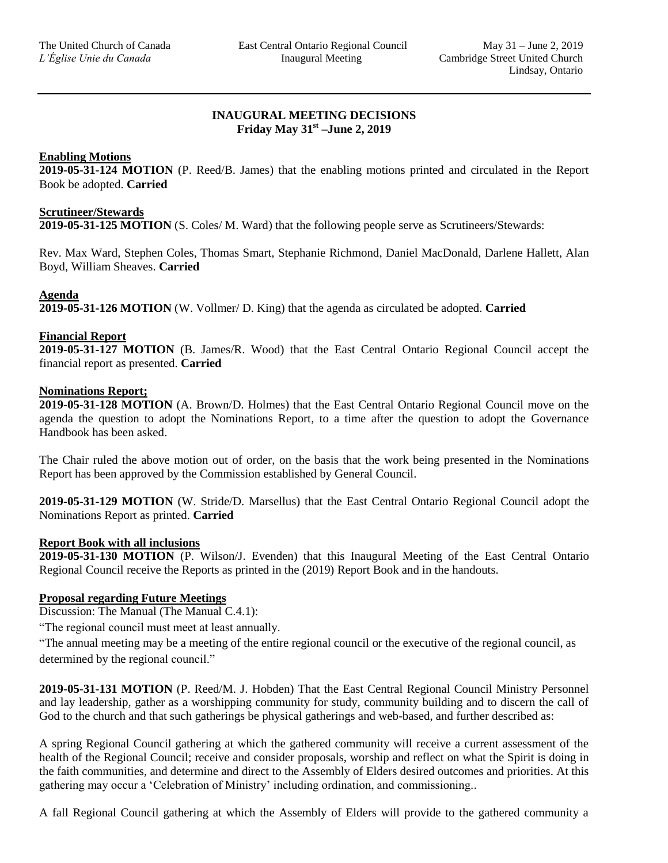## **INAUGURAL MEETING DECISIONS Friday May 31st –June 2, 2019**

## **Enabling Motions**

**2019-05-31-124 MOTION** (P. Reed/B. James) that the enabling motions printed and circulated in the Report Book be adopted. **Carried**

## **Scrutineer/Stewards**

**2019-05-31-125 MOTION** (S. Coles/ M. Ward) that the following people serve as Scrutineers/Stewards:

Rev. Max Ward, Stephen Coles, Thomas Smart, Stephanie Richmond, Daniel MacDonald, Darlene Hallett, Alan Boyd, William Sheaves. **Carried** 

### **Agenda**

**2019-05-31-126 MOTION** (W. Vollmer/ D. King) that the agenda as circulated be adopted. **Carried** 

### **Financial Report**

**2019-05-31-127 MOTION** (B. James/R. Wood) that the East Central Ontario Regional Council accept the financial report as presented. **Carried**

#### **Nominations Report;**

**2019-05-31-128 MOTION** (A. Brown/D. Holmes) that the East Central Ontario Regional Council move on the agenda the question to adopt the Nominations Report, to a time after the question to adopt the Governance Handbook has been asked.

The Chair ruled the above motion out of order, on the basis that the work being presented in the Nominations Report has been approved by the Commission established by General Council.

**2019-05-31-129 MOTION** (W. Stride/D. Marsellus) that the East Central Ontario Regional Council adopt the Nominations Report as printed. **Carried** 

### **Report Book with all inclusions**

**2019-05-31-130 MOTION** (P. Wilson/J. Evenden) that this Inaugural Meeting of the East Central Ontario Regional Council receive the Reports as printed in the (2019) Report Book and in the handouts.

### **Proposal regarding Future Meetings**

Discussion: The Manual (The Manual C.4.1):

"The regional council must meet at least annually.

"The annual meeting may be a meeting of the entire regional council or the executive of the regional council, as determined by the regional council."

**2019-05-31-131 MOTION** (P. Reed/M. J. Hobden) That the East Central Regional Council Ministry Personnel and lay leadership, gather as a worshipping community for study, community building and to discern the call of God to the church and that such gatherings be physical gatherings and web-based, and further described as:

A spring Regional Council gathering at which the gathered community will receive a current assessment of the health of the Regional Council; receive and consider proposals, worship and reflect on what the Spirit is doing in the faith communities, and determine and direct to the Assembly of Elders desired outcomes and priorities. At this gathering may occur a 'Celebration of Ministry' including ordination, and commissioning..

A fall Regional Council gathering at which the Assembly of Elders will provide to the gathered community a